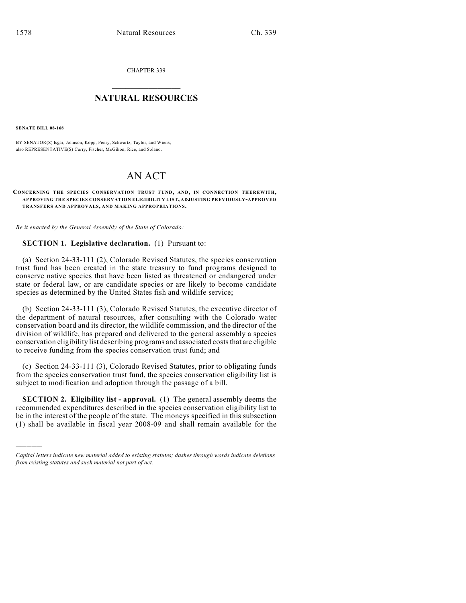CHAPTER 339

## $\overline{\phantom{a}}$  . The set of the set of the set of the set of the set of the set of the set of the set of the set of the set of the set of the set of the set of the set of the set of the set of the set of the set of the set o **NATURAL RESOURCES**  $\frac{1}{\sqrt{2}}$  , where  $\frac{1}{\sqrt{2}}$  ,  $\frac{1}{\sqrt{2}}$  ,  $\frac{1}{\sqrt{2}}$

**SENATE BILL 08-168**

)))))

BY SENATOR(S) Isgar, Johnson, Kopp, Penry, Schwartz, Taylor, and Wiens; also REPRESENTATIVE(S) Curry, Fischer, McGihon, Rice, and Solano.

# AN ACT

#### **CONCERNING THE SPECIES CONSERVATION TRUST FUND, AND, IN CONNECTION THEREWITH, APPROVING THE SPECIES CONSERVATION ELIGIBILITY LIST, ADJUSTING PREVIOUSLY-APPROVED TRANSFERS AND APPROVALS, AND MAKING APPROPRIATIONS.**

*Be it enacted by the General Assembly of the State of Colorado:*

### **SECTION 1. Legislative declaration.** (1) Pursuant to:

(a) Section 24-33-111 (2), Colorado Revised Statutes, the species conservation trust fund has been created in the state treasury to fund programs designed to conserve native species that have been listed as threatened or endangered under state or federal law, or are candidate species or are likely to become candidate species as determined by the United States fish and wildlife service;

(b) Section 24-33-111 (3), Colorado Revised Statutes, the executive director of the department of natural resources, after consulting with the Colorado water conservation board and its director, the wildlife commission, and the director of the division of wildlife, has prepared and delivered to the general assembly a species conservation eligibility list describing programs and associated costs that are eligible to receive funding from the species conservation trust fund; and

(c) Section 24-33-111 (3), Colorado Revised Statutes, prior to obligating funds from the species conservation trust fund, the species conservation eligibility list is subject to modification and adoption through the passage of a bill.

**SECTION 2. Eligibility list - approval.** (1) The general assembly deems the recommended expenditures described in the species conservation eligibility list to be in the interest of the people of the state. The moneys specified in this subsection (1) shall be available in fiscal year 2008-09 and shall remain available for the

*Capital letters indicate new material added to existing statutes; dashes through words indicate deletions from existing statutes and such material not part of act.*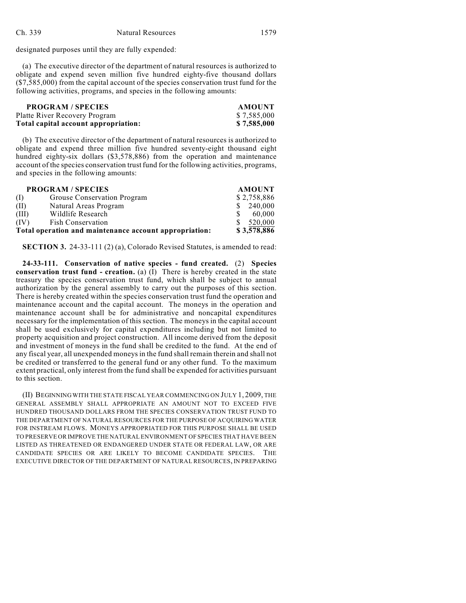designated purposes until they are fully expended:

(a) The executive director of the department of natural resources is authorized to obligate and expend seven million five hundred eighty-five thousand dollars (\$7,585,000) from the capital account of the species conservation trust fund for the following activities, programs, and species in the following amounts:

| <b>PROGRAM / SPECIES</b>             | <b>AMOUNT</b> |
|--------------------------------------|---------------|
| Platte River Recovery Program        | \$7,585,000   |
| Total capital account appropriation: | \$7,585,000   |

(b) The executive director of the department of natural resources is authorized to obligate and expend three million five hundred seventy-eight thousand eight hundred eighty-six dollars (\$3,578,886) from the operation and maintenance account of the species conservation trustfund for the following activities, programs, and species in the following amounts:

| <b>PROGRAM / SPECIES</b>                               |                             | <b>AMOUNT</b> |
|--------------------------------------------------------|-----------------------------|---------------|
| (1)                                                    | Grouse Conservation Program | \$2,758,886   |
| (II)                                                   | Natural Areas Program       | 240,000       |
| (III)                                                  | Wildlife Research           | 60.000        |
| (IV)                                                   | <b>Fish Conservation</b>    | 520,000       |
| Total operation and maintenance account appropriation: |                             | \$3,578,886   |

**SECTION 3.** 24-33-111 (2) (a), Colorado Revised Statutes, is amended to read:

**24-33-111. Conservation of native species - fund created.** (2) **Species conservation trust fund - creation.** (a) (I) There is hereby created in the state treasury the species conservation trust fund, which shall be subject to annual authorization by the general assembly to carry out the purposes of this section. There is hereby created within the species conservation trust fund the operation and maintenance account and the capital account. The moneys in the operation and maintenance account shall be for administrative and noncapital expenditures necessary for the implementation of this section. The moneys in the capital account shall be used exclusively for capital expenditures including but not limited to property acquisition and project construction. All income derived from the deposit and investment of moneys in the fund shall be credited to the fund. At the end of any fiscal year, all unexpended moneys in the fund shall remain therein and shall not be credited or transferred to the general fund or any other fund. To the maximum extent practical, only interest from the fund shall be expended for activities pursuant to this section.

(II) BEGINNINGWITH THE STATE FISCAL YEAR COMMENCING ON JULY 1, 2009, THE GENERAL ASSEMBLY SHALL APPROPRIATE AN AMOUNT NOT TO EXCEED FIVE HUNDRED THOUSAND DOLLARS FROM THE SPECIES CONSERVATION TRUST FUND TO THE DEPARTMENT OF NATURAL RESOURCES FOR THE PURPOSE OF ACQUIRING WATER FOR INSTREAM FLOWS. MONEYS APPROPRIATED FOR THIS PURPOSE SHALL BE USED TO PRESERVE OR IMPROVE THE NATURAL ENVIRONMENT OF SPECIES THAT HAVE BEEN LISTED AS THREATENED OR ENDANGERED UNDER STATE OR FEDERAL LAW, OR ARE CANDIDATE SPECIES OR ARE LIKELY TO BECOME CANDIDATE SPECIES. THE EXECUTIVE DIRECTOR OF THE DEPARTMENT OF NATURAL RESOURCES, IN PREPARING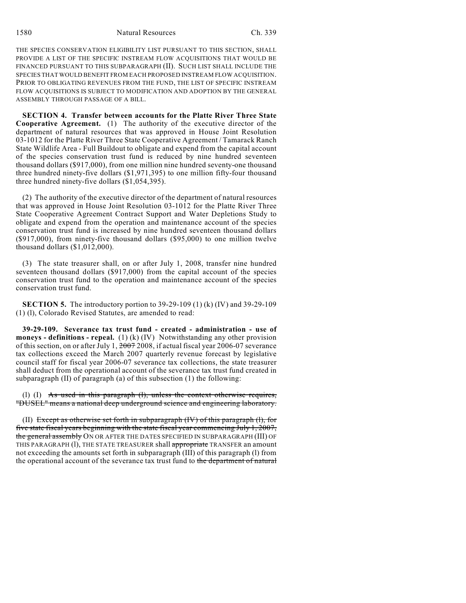1580 Natural Resources Ch. 339

THE SPECIES CONSERVATION ELIGIBILITY LIST PURSUANT TO THIS SECTION, SHALL PROVIDE A LIST OF THE SPECIFIC INSTREAM FLOW ACQUISITIONS THAT WOULD BE FINANCED PURSUANT TO THIS SUBPARAGRAPH (II). SUCH LIST SHALL INCLUDE THE SPECIES THAT WOULD BENEFIT FROM EACH PROPOSED INSTREAM FLOW ACQUISITION. PRIOR TO OBLIGATING REVENUES FROM THE FUND, THE LIST OF SPECIFIC INSTREAM FLOW ACQUISITIONS IS SUBJECT TO MODIFICATION AND ADOPTION BY THE GENERAL ASSEMBLY THROUGH PASSAGE OF A BILL.

**SECTION 4. Transfer between accounts for the Platte River Three State Cooperative Agreement.** (1) The authority of the executive director of the department of natural resources that was approved in House Joint Resolution 03-1012 for the Platte River Three State Cooperative Agreement / Tamarack Ranch State Wildlife Area - Full Buildout to obligate and expend from the capital account of the species conservation trust fund is reduced by nine hundred seventeen thousand dollars (\$917,000), from one million nine hundred seventy-one thousand three hundred ninety-five dollars (\$1,971,395) to one million fifty-four thousand three hundred ninety-five dollars (\$1,054,395).

(2) The authority of the executive director of the department of natural resources that was approved in House Joint Resolution 03-1012 for the Platte River Three State Cooperative Agreement Contract Support and Water Depletions Study to obligate and expend from the operation and maintenance account of the species conservation trust fund is increased by nine hundred seventeen thousand dollars (\$917,000), from ninety-five thousand dollars (\$95,000) to one million twelve thousand dollars (\$1,012,000).

(3) The state treasurer shall, on or after July 1, 2008, transfer nine hundred seventeen thousand dollars (\$917,000) from the capital account of the species conservation trust fund to the operation and maintenance account of the species conservation trust fund.

**SECTION 5.** The introductory portion to 39-29-109 (1) (k) (IV) and 39-29-109 (1) (l), Colorado Revised Statutes, are amended to read:

**39-29-109. Severance tax trust fund - created - administration - use of moneys - definitions - repeal.** (1) (k) (IV) Notwithstanding any other provision of this section, on or after July 1, 2007 2008, if actual fiscal year 2006-07 severance tax collections exceed the March 2007 quarterly revenue forecast by legislative council staff for fiscal year 2006-07 severance tax collections, the state treasurer shall deduct from the operational account of the severance tax trust fund created in subparagraph (II) of paragraph (a) of this subsection (1) the following:

(1) (I) As used in this paragraph  $(1)$ , unless the context otherwise requires, "DUSEL" means a national deep underground science and engineering laboratory.

(II) Except as otherwise set forth in subparagraph  $(W)$  of this paragraph  $(1)$ , for five state fiscal years beginning with the state fiscal year commencing July 1, 2007, the general assembly ON OR AFTER THE DATES SPECIFIED IN SUBPARAGRAPH (III) OF THIS PARAGRAPH (1), THE STATE TREASURER shall appropriate TRANSFER an amount not exceeding the amounts set forth in subparagraph (III) of this paragraph (l) from the operational account of the severance tax trust fund to the department of natural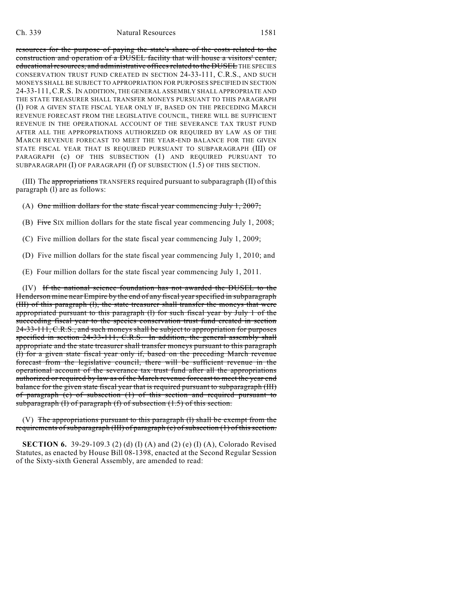#### Ch. 339 Natural Resources 1581

resources for the purpose of paying the state's share of the costs related to the construction and operation of a DUSEL facility that will house a visitors' center, educational resources, and administrative offices related to the DUSEL THE SPECIES CONSERVATION TRUST FUND CREATED IN SECTION 24-33-111, C.R.S., AND SUCH MONEYS SHALL BE SUBJECT TO APPROPRIATION FOR PURPOSES SPECIFIED IN SECTION 24-33-111,C.R.S. IN ADDITION, THE GENERAL ASSEMBLY SHALL APPROPRIATE AND THE STATE TREASURER SHALL TRANSFER MONEYS PURSUANT TO THIS PARAGRAPH (l) FOR A GIVEN STATE FISCAL YEAR ONLY IF, BASED ON THE PRECEDING MARCH REVENUE FORECAST FROM THE LEGISLATIVE COUNCIL, THERE WILL BE SUFFICIENT REVENUE IN THE OPERATIONAL ACCOUNT OF THE SEVERANCE TAX TRUST FUND AFTER ALL THE APPROPRIATIONS AUTHORIZED OR REQUIRED BY LAW AS OF THE MARCH REVENUE FORECAST TO MEET THE YEAR-END BALANCE FOR THE GIVEN STATE FISCAL YEAR THAT IS REQUIRED PURSUANT TO SUBPARAGRAPH (III) OF PARAGRAPH (c) OF THIS SUBSECTION (1) AND REQUIRED PURSUANT TO SUBPARAGRAPH (I) OF PARAGRAPH (f) OF SUBSECTION (1.5) OF THIS SECTION.

(III) The appropriations TRANSFERS required pursuant to subparagraph (II) of this paragraph (l) are as follows:

(A) One million dollars for the state fiscal year commencing July 1, 2007;

(B) Five SIX million dollars for the state fiscal year commencing July 1, 2008;

(C) Five million dollars for the state fiscal year commencing July 1, 2009;

(D) Five million dollars for the state fiscal year commencing July 1, 2010; and

(E) Four million dollars for the state fiscal year commencing July 1, 2011.

(IV) If the national science foundation has not awarded the DUSEL to the Henderson mine near Empire by the end of any fiscal year specified in subparagraph (III) of this paragraph (l), the state treasurer shall transfer the moneys that were appropriated pursuant to this paragraph (l) for such fiscal year by July 1 of the succeeding fiscal year to the species conservation trust fund created in section 24-33-111, C.R.S., and such moneys shall be subject to appropriation for purposes specified in section 24-33-111, C.R.S. In addition, the general assembly shall appropriate and the state treasurer shall transfer moneys pursuant to this paragraph (l) for a given state fiscal year only if, based on the preceding March revenue forecast from the legislative council, there will be sufficient revenue in the operational account of the severance tax trust fund after all the appropriations authorized or required by law as of the March revenue forecast to meet the year end balance for the given state fiscal year that is required pursuant to subparagraph (III) of paragraph (c) of subsection (1) of this section and required pursuant to subparagraph  $(I)$  of paragraph  $(I)$  of subsection  $(1.5)$  of this section.

 $(V)$  The appropriations pursuant to this paragraph (1) shall be exempt from the requirements of subparagraph (III) of paragraph (c) of subsection  $(1)$  of this section.

**SECTION 6.** 39-29-109.3 (2) (d) (I) (A) and (2) (e) (I) (A), Colorado Revised Statutes, as enacted by House Bill 08-1398, enacted at the Second Regular Session of the Sixty-sixth General Assembly, are amended to read: